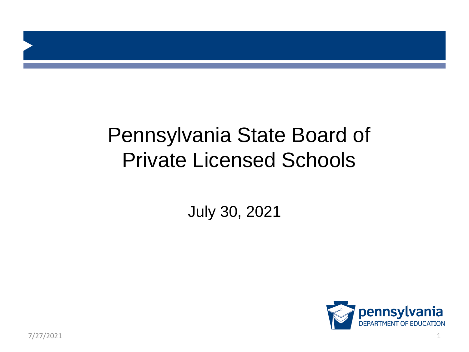#### Pennsylvania State Board of Private Licensed Schools

July 30, 2021

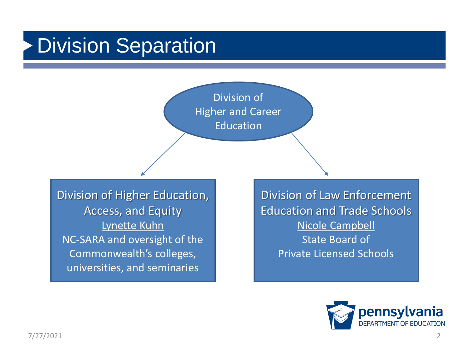#### Division Separation

Division of Higher and Career **Education** 

Division of Higher Education, Access, and Equity Lynette Kuhn NC-SARA and oversight of the Commonwealth's colleges, universities, and seminaries

Division of Law Enforcement Education and Trade Schools Nicole Campbell State Board of Private Licensed Schools

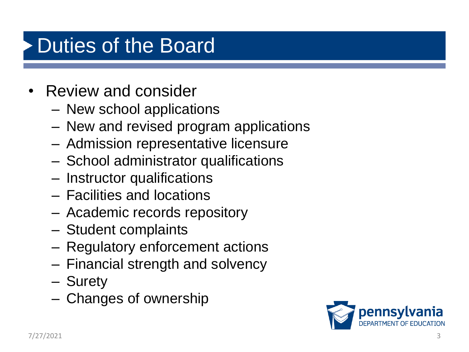#### Duties of the Board

- Review and consider
	- New school applications
	- New and revised program applications
	- Admission representative licensure
	- School administrator qualifications
	- Instructor qualifications
	- Facilities and locations
	- Academic records repository
	- Student complaints
	- Regulatory enforcement actions
	- Financial strength and solvency
	- Surety
	- Changes of ownership

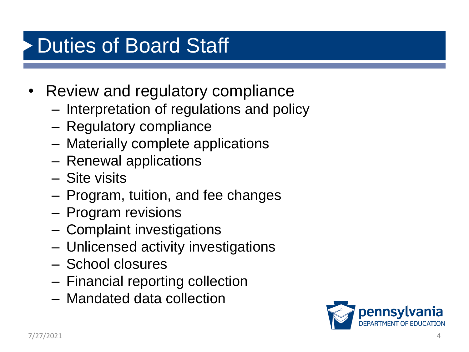#### Duties of Board Staff

- Review and regulatory compliance
	- Interpretation of regulations and policy
	- Regulatory compliance
	- Materially complete applications
	- Renewal applications
	- Site visits
	- Program, tuition, and fee changes
	- Program revisions
	- Complaint investigations
	- Unlicensed activity investigations
	- School closures
	- Financial reporting collection
	- Mandated data collection

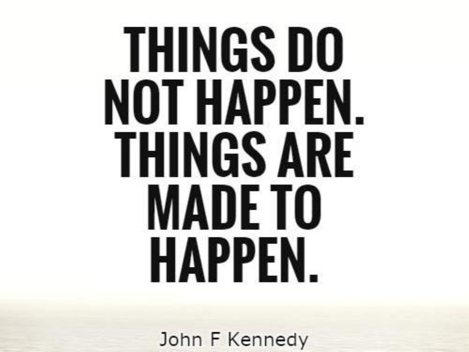## **THINGS DO** NOT HAPPEN. **THINGS ARE MADETO** HAPPEN.

John F Kennedy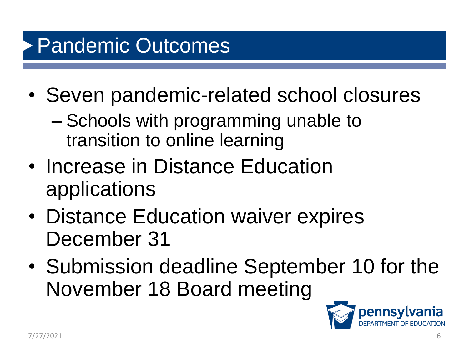#### Pandemic Outcomes

- Seven pandemic-related school closures
	- Schools with programming unable to transition to online learning
- Increase in Distance Education applications
- Distance Education waiver expires December 31
- Submission deadline September 10 for the November 18 Board meeting

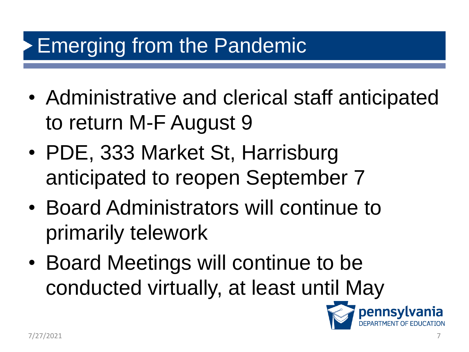#### Emerging from the Pandemic

- Administrative and clerical staff anticipated to return M-F August 9
- PDE, 333 Market St, Harrisburg anticipated to reopen September 7
- Board Administrators will continue to primarily telework
- Board Meetings will continue to be conducted virtually, at least until May

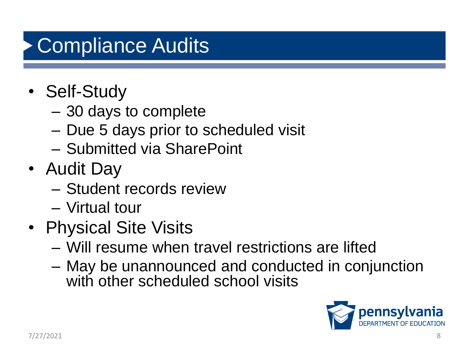### Compliance Audits

- Self-Study
	- 30 days to complete
	- Due 5 days prior to scheduled visit
	- Submitted via SharePoint
- Audit Day
	- Student records review
	- Virtual tour
- Physical Site Visits
	- Will resume when travel restrictions are lifted
	- May be unannounced and conducted in conjunction with other scheduled school visits

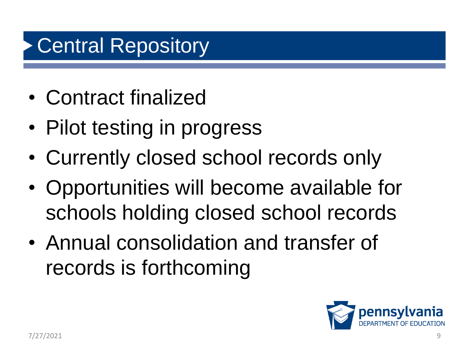#### **Central Repository**

- Contract finalized
- Pilot testing in progress
- Currently closed school records only
- Opportunities will become available for schools holding closed school records
- Annual consolidation and transfer of records is forthcoming

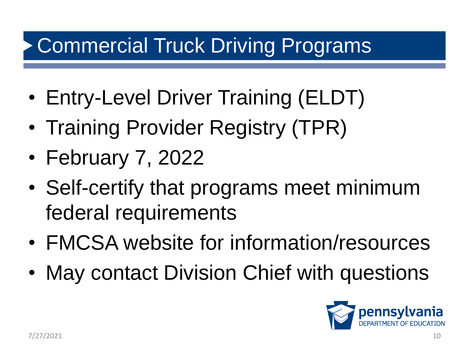#### Commercial Truck Driving Programs

- Entry-Level Driver Training (ELDT)
- Training Provider Registry (TPR)
- February 7, 2022
- Self-certify that programs meet minimum federal requirements
- FMCSA website for information/resources
- May contact Division Chief with questions

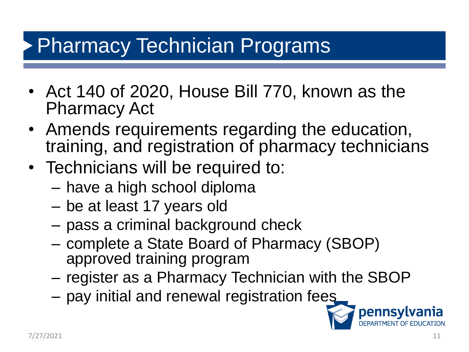#### Pharmacy Technician Programs

- Act 140 of 2020, House Bill 770, known as the Pharmacy Act
- Amends requirements regarding the education, training, and registration of pharmacy technicians
- Technicians will be required to:
	- have a high school diploma
	- be at least 17 years old
	- pass a criminal background check
	- complete a State Board of Pharmacy (SBOP) approved training program
	- register as a Pharmacy Technician with the SBOP
	- pay initial and renewal registration fees

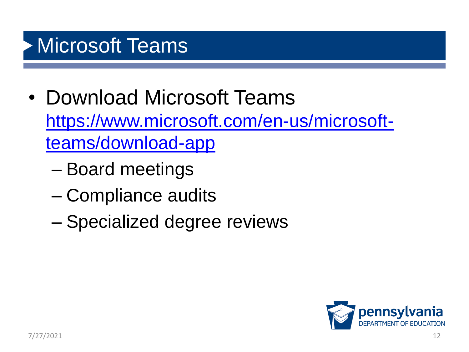#### **Microsoft Teams**

- Download Microsoft Teams [https://www.microsoft.com/en-us/microsoft](https://www.microsoft.com/en-us/microsoft-teams/download-app)teams/download-app
	- Board meetings
	- Compliance audits
	- Specialized degree reviews

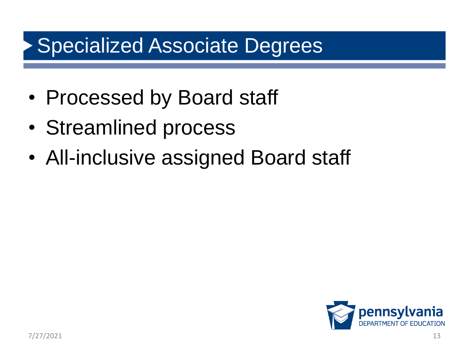#### Specialized Associate Degrees

- Processed by Board staff
- Streamlined process
- All-inclusive assigned Board staff

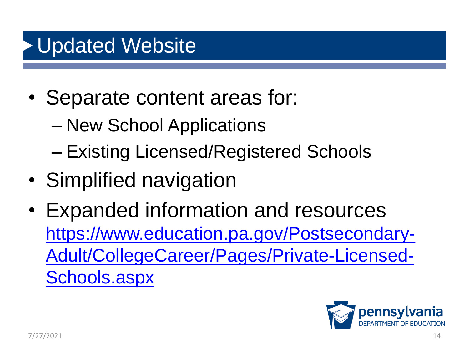#### Updated Website

- Separate content areas for:
	- New School Applications
	- Existing Licensed/Registered Schools
- Simplified navigation
- Expanded information and resources https://www.education.pa.gov/Postsecondary-[Adult/CollegeCareer/Pages/Private-Licensed-](https://www.education.pa.gov/Postsecondary-Adult/CollegeCareer/Pages/Private-Licensed-Schools.aspx)Schools.aspx

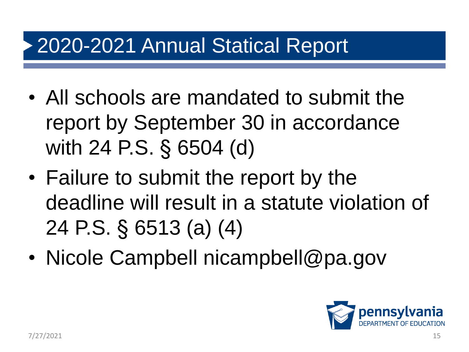#### 2020-2021 Annual Statical Report

- All schools are mandated to submit the report by September 30 in accordance with 24 P.S. § 6504 (d)
- Failure to submit the report by the deadline will result in a statute violation of 24 P.S. § 6513 (a) (4)
- Nicole Campbell nicampbell@pa.gov